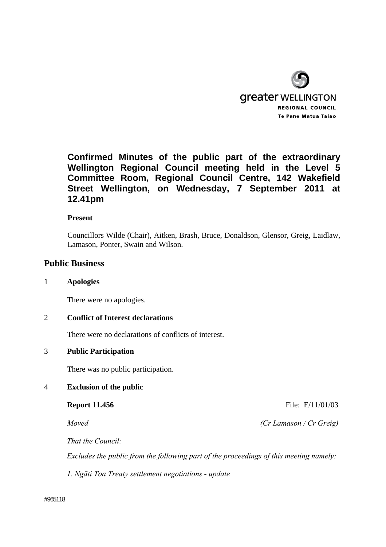

# **Confirmed Minutes of the public part of the extraordinary Wellington Regional Council meeting held in the Level 5 Committee Room, Regional Council Centre, 142 Wakefield Street Wellington, on Wednesday, 7 September 2011 at 12.41pm**

## **Present**

Councillors Wilde (Chair), Aitken, Brash, Bruce, Donaldson, Glensor, Greig, Laidlaw, Lamason, Ponter, Swain and Wilson.

## **Public Business**

### 1 **Apologies**

There were no apologies.

### 2 **Conflict of Interest declarations**

There were no declarations of conflicts of interest.

### 3 **Public Participation**

There was no public participation.

### 4 **Exclusion of the public**

#### **Report 11.456** File: E/11/01/03

 *Moved (Cr Lamason / Cr Greig)* 

*That the Council:* 

 *Excludes the public from the following part of the proceedings of this meeting namely:* 

*1. Ngāti Toa Treaty settlement negotiations - update*